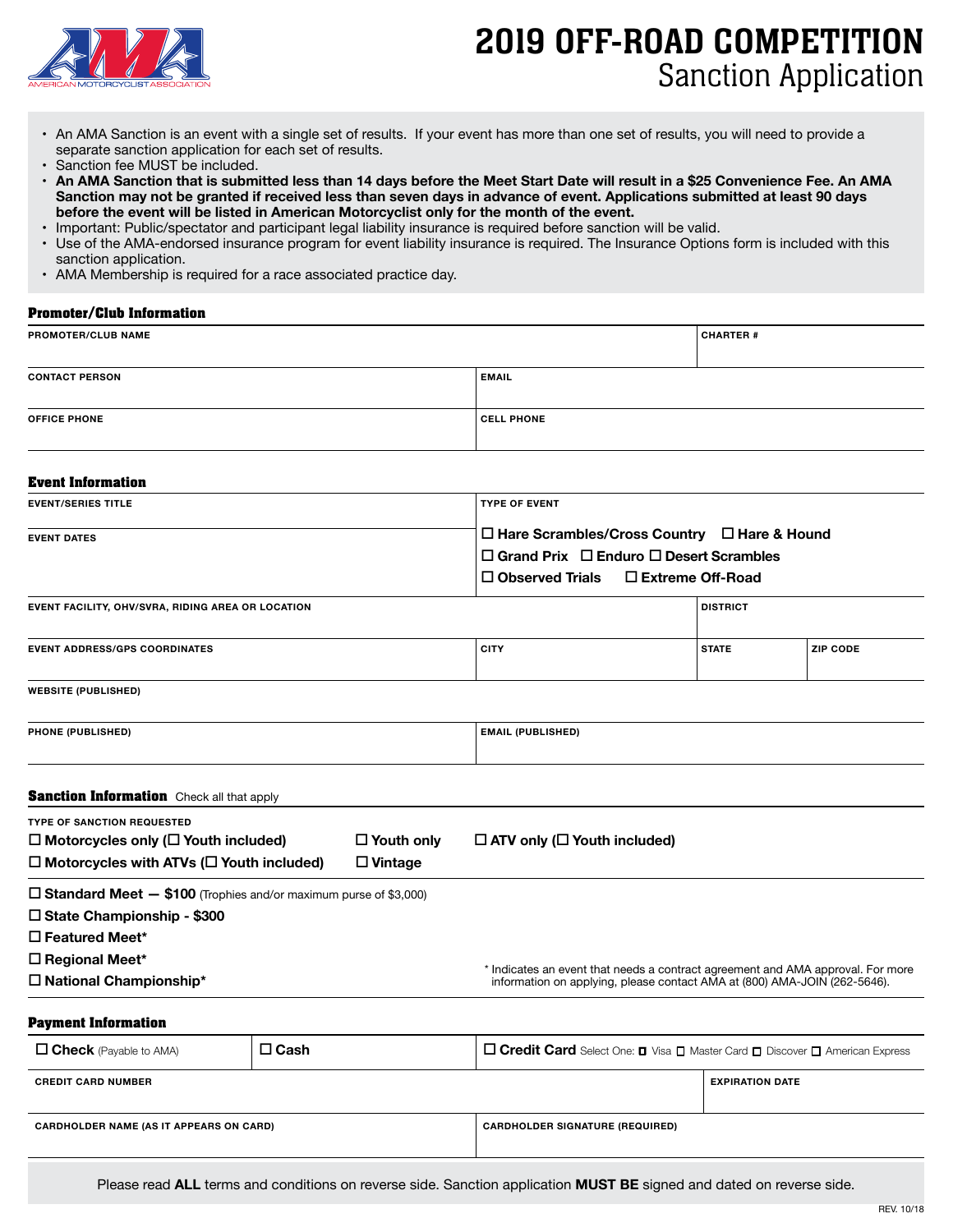

# 2019 OFF-ROAD COMPETITION Sanction Application

- • An AMA Sanction is an event with a single set of results. If your event has more than one set of results, you will need to provide a separate sanction application for each set of results.
- Sanction fee MUST be included.<br>• An AMA Sanction that is submit
- **• An AMA Sanction that is submitted less than 14 days before the Meet Start Date will result in a \$25 Convenience Fee. An AMA Sanction may not be granted if received less than seven days in advance of event. Applications submitted at least 90 days before the event will be listed in American Motorcyclist only for the month of the event.**
- Important: Public/spectator and participant legal liability insurance is required before sanction will be valid.<br>• Use of the AMA-endorsed insurance program for event liability insurance is required. The Insurance Option
- Use of the AMA-endorsed insurance program for event liability insurance is required. The Insurance Options form is included with this sanction application.
- AMA Membership is required for a race associated practice day.

# **Promoter/Club Information**

| PROMOTER/CLUB NAME    |                   | <b>CHARTER #</b> |
|-----------------------|-------------------|------------------|
| <b>CONTACT PERSON</b> | <b>EMAIL</b>      |                  |
| <b>OFFICE PHONE</b>   | <b>CELL PHONE</b> |                  |
|                       |                   |                  |

### **Event Information**

| <b>EVENT/SERIES TITLE</b> | <b>TYPE OF EVENT</b>                                    |  |
|---------------------------|---------------------------------------------------------|--|
| <b>EVENT DATES</b>        | $\Box$ Hare Scrambles/Cross Country $\Box$ Hare & Hound |  |
|                           | $\Box$ Grand Prix $\Box$ Enduro $\Box$ Desert Scrambles |  |
|                           | $\Box$ Observed Trials $\Box$ Extreme Off-Road          |  |

| EVENT FACILITY, OHV/SVRA, RIDING AREA OR LOCATION |             | <b>DISTRICT</b> |                 |
|---------------------------------------------------|-------------|-----------------|-----------------|
| <b>EVENT ADDRESS/GPS COORDINATES</b>              | <b>CITY</b> | <b>STATE</b>    | <b>ZIP CODE</b> |

**WEBSITE (PUBLISHED)**

| <b>PHONE</b><br>the contract of the contract of the contract of the contract of the contract of the contract of the contract of | $\sim$ $\sim$<br>and the contract of the contract of the contract of the contract of the contract of the contract of the contract of the contract of the contract of the contract of the contract of the contract of the contract of the contra |
|---------------------------------------------------------------------------------------------------------------------------------|-------------------------------------------------------------------------------------------------------------------------------------------------------------------------------------------------------------------------------------------------|
|                                                                                                                                 |                                                                                                                                                                                                                                                 |

| <b>Sanction Information</b> Check all that apply                                      |                   |                                          |  |
|---------------------------------------------------------------------------------------|-------------------|------------------------------------------|--|
| <b>TYPE OF SANCTION REQUESTED</b><br>$\Box$ Motorcycles only ( $\Box$ Youth included) | $\Box$ Youth only | $\Box$ ATV only ( $\Box$ Youth included) |  |
| $\Box$ Motorcycles with ATVs ( $\Box$ Youth included)                                 | $\square$ Vintage |                                          |  |
| $\Box$ Standard Meet $-$ \$100 (Trophies and/or maximum purse of \$3,000)             |                   |                                          |  |
| $\Box$ State Championship - \$300                                                     |                   |                                          |  |

**Featured Meet\***

**Regional Meet\***

**National Championship\***

\* Indicates an event that needs a contract agreement and AMA approval. For more information on applying, please contact AMA at (800) AMA-JOIN (262-5646).

#### **Payment Information**

| $\Box$ Check (Payable to AMA)                  | $\Box$ Cash | $\Box$ Credit Card Select One: $\Box$ Visa $\Box$ Master Card $\Box$ Discover $\Box$ American Express |                        |
|------------------------------------------------|-------------|-------------------------------------------------------------------------------------------------------|------------------------|
| <b>CREDIT CARD NUMBER</b>                      |             |                                                                                                       | <b>EXPIRATION DATE</b> |
| <b>CARDHOLDER NAME (AS IT APPEARS ON CARD)</b> |             | <b>CARDHOLDER SIGNATURE (REQUIRED)</b>                                                                |                        |

Please read **ALL** terms and conditions on reverse side. Sanction application **MUST BE** signed and dated on reverse side.